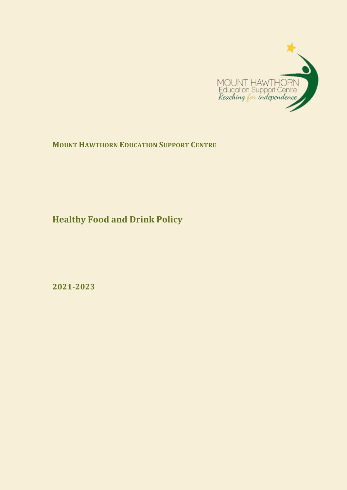

## **MOUNT HAWTHORN EDUCATION SUPPORT CENTRE**

**Healthy Food and Drink Policy**

**2021-2023**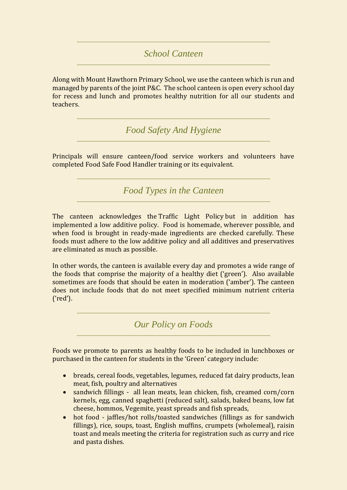## *School Canteen*

Along with Mount Hawthorn Primary School, we use the canteen which is run and managed by parents of the joint P&C. The school canteen is open every school day for recess and lunch and promotes healthy nutrition for all our students and teachers.

*Food Safety And Hygiene* 

Principals will ensure canteen/food service workers and volunteers have completed Food Safe Food Handler training or its equivalent.

*Food Types in the Canteen*

The canteen acknowledges the [Traffic Light Policy](http://www.mounthawthornps.wa.edu.au/P&C/Canteen/P&C%20Corner%20Canteen%20Update%20June%202010.pdf) but in addition has implemented a low additive policy. Food is homemade, wherever possible, and when food is brought in ready-made ingredients are checked carefully. These foods must adhere to the low additive policy and all additives and preservatives are eliminated as much as possible.

In other words, the canteen is available every day and promotes a wide range of the foods that comprise the majority of a healthy diet ('green'). Also available sometimes are foods that should be eaten in moderation ('amber'). The canteen does not include foods that do not meet specified minimum nutrient criteria ('red').

*Our Policy on Foods*

Foods we promote to parents as healthy foods to be included in lunchboxes or purchased in the canteen for students in the 'Green' category include:

- breads, cereal foods, vegetables, legumes, reduced fat dairy products, lean meat, fish, poultry and alternatives
- sandwich fillings all lean meats, lean chicken, fish, creamed corn/corn kernels, egg, canned spaghetti (reduced salt), salads, baked beans, low fat cheese, hommos, Vegemite, yeast spreads and fish spreads,
- hot food jaffles/hot rolls/toasted sandwiches (fillings as for sandwich fillings), rice, soups, toast, English muffins, crumpets (wholemeal), raisin toast and meals meeting the criteria for registration such as curry and rice and pasta dishes.